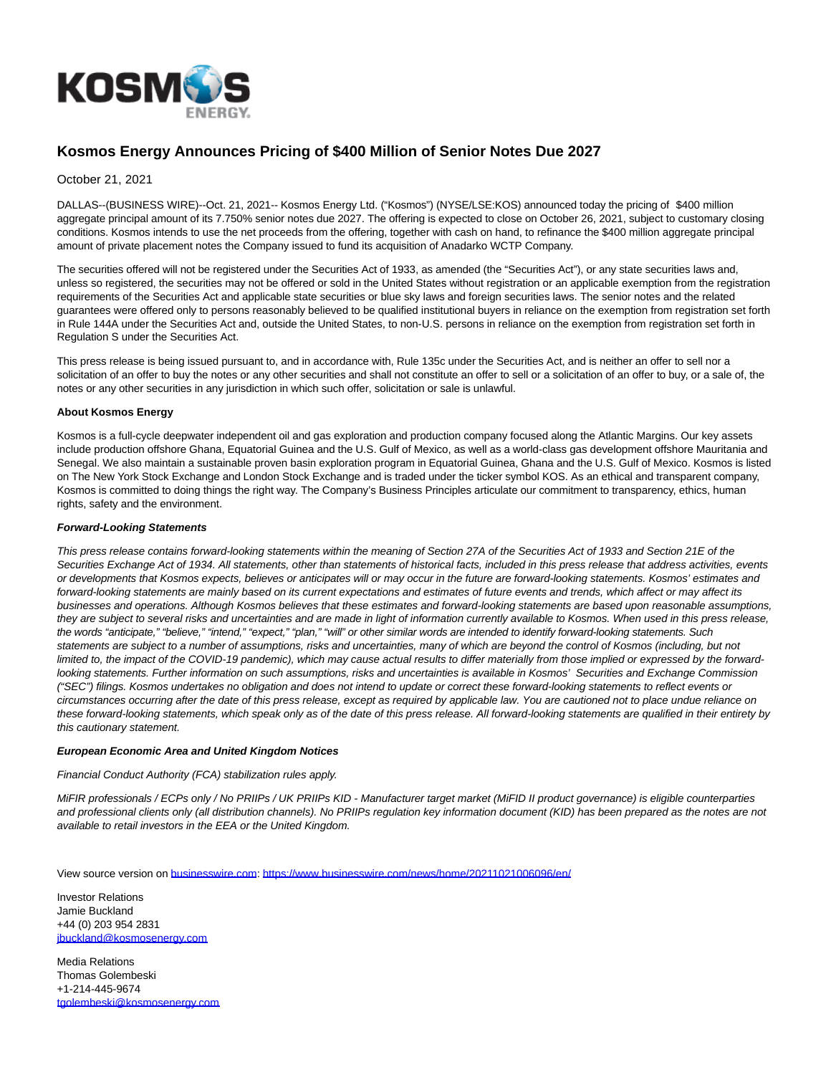

# **Kosmos Energy Announces Pricing of \$400 Million of Senior Notes Due 2027**

## October 21, 2021

DALLAS--(BUSINESS WIRE)--Oct. 21, 2021-- Kosmos Energy Ltd. ("Kosmos") (NYSE/LSE:KOS) announced today the pricing of \$400 million aggregate principal amount of its 7.750% senior notes due 2027. The offering is expected to close on October 26, 2021, subject to customary closing conditions. Kosmos intends to use the net proceeds from the offering, together with cash on hand, to refinance the \$400 million aggregate principal amount of private placement notes the Company issued to fund its acquisition of Anadarko WCTP Company.

The securities offered will not be registered under the Securities Act of 1933, as amended (the "Securities Act"), or any state securities laws and, unless so registered, the securities may not be offered or sold in the United States without registration or an applicable exemption from the registration requirements of the Securities Act and applicable state securities or blue sky laws and foreign securities laws. The senior notes and the related guarantees were offered only to persons reasonably believed to be qualified institutional buyers in reliance on the exemption from registration set forth in Rule 144A under the Securities Act and, outside the United States, to non-U.S. persons in reliance on the exemption from registration set forth in Regulation S under the Securities Act.

This press release is being issued pursuant to, and in accordance with, Rule 135c under the Securities Act, and is neither an offer to sell nor a solicitation of an offer to buy the notes or any other securities and shall not constitute an offer to sell or a solicitation of an offer to buy, or a sale of, the notes or any other securities in any jurisdiction in which such offer, solicitation or sale is unlawful.

#### **About Kosmos Energy**

Kosmos is a full-cycle deepwater independent oil and gas exploration and production company focused along the Atlantic Margins. Our key assets include production offshore Ghana, Equatorial Guinea and the U.S. Gulf of Mexico, as well as a world-class gas development offshore Mauritania and Senegal. We also maintain a sustainable proven basin exploration program in Equatorial Guinea, Ghana and the U.S. Gulf of Mexico. Kosmos is listed on The New York Stock Exchange and London Stock Exchange and is traded under the ticker symbol KOS. As an ethical and transparent company, Kosmos is committed to doing things the right way. The Company's Business Principles articulate our commitment to transparency, ethics, human rights, safety and the environment.

#### **Forward-Looking Statements**

This press release contains forward-looking statements within the meaning of Section 27A of the Securities Act of 1933 and Section 21E of the Securities Exchange Act of 1934. All statements, other than statements of historical facts, included in this press release that address activities, events or developments that Kosmos expects, believes or anticipates will or may occur in the future are forward-looking statements. Kosmos' estimates and forward-looking statements are mainly based on its current expectations and estimates of future events and trends, which affect or may affect its businesses and operations. Although Kosmos believes that these estimates and forward-looking statements are based upon reasonable assumptions, they are subject to several risks and uncertainties and are made in light of information currently available to Kosmos. When used in this press release, the words "anticipate," "believe," "intend," "expect," "plan," "will" or other similar words are intended to identify forward-looking statements. Such statements are subject to a number of assumptions, risks and uncertainties, many of which are beyond the control of Kosmos (including, but not limited to, the impact of the COVID-19 pandemic), which may cause actual results to differ materially from those implied or expressed by the forwardlooking statements. Further information on such assumptions, risks and uncertainties is available in Kosmos' Securities and Exchange Commission ("SEC") filings. Kosmos undertakes no obligation and does not intend to update or correct these forward-looking statements to reflect events or circumstances occurring after the date of this press release, except as required by applicable law. You are cautioned not to place undue reliance on these forward-looking statements, which speak only as of the date of this press release. All forward-looking statements are qualified in their entirety by this cautionary statement.

#### **European Economic Area and United Kingdom Notices**

## Financial Conduct Authority (FCA) stabilization rules apply.

MiFIR professionals / ECPs only / No PRIIPs / UK PRIIPs KID - Manufacturer target market (MiFID II product governance) is eligible counterparties and professional clients only (all distribution channels). No PRIIPs regulation key information document (KID) has been prepared as the notes are not available to retail investors in the EEA or the United Kingdom.

View source version on [businesswire.com:](http://businesswire.com/)<https://www.businesswire.com/news/home/20211021006096/en/>

Investor Relations Jamie Buckland +44 (0) 203 954 2831 [jbuckland@kosmosenergy.com](mailto:jbuckland@kosmosenergy.com)

Media Relations Thomas Golembeski +1-214-445-9674 [tgolembeski@kosmosenergy.com](mailto:tgolembeski@kosmosenergy.com)